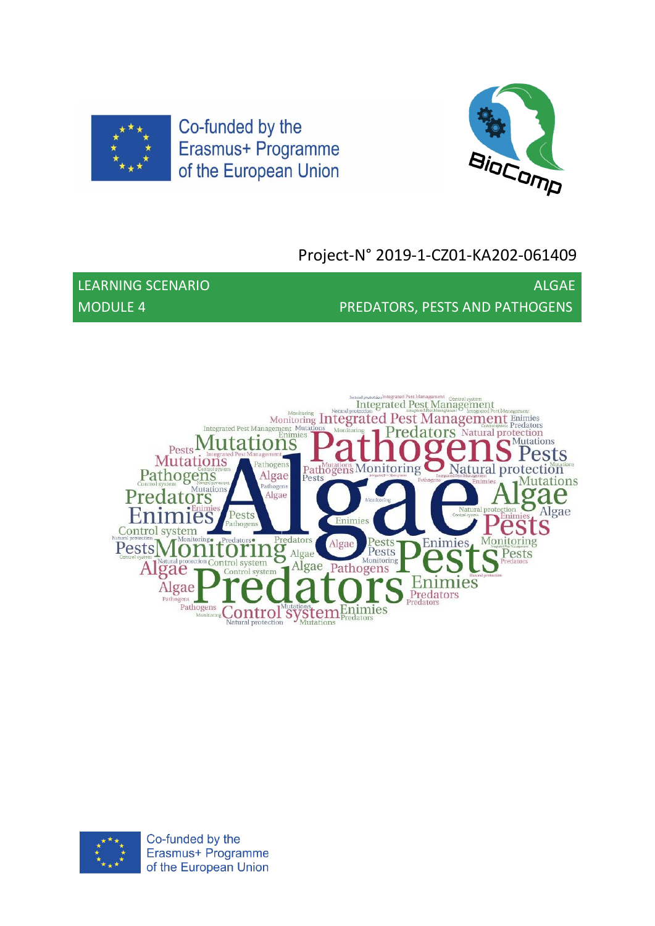



# Project-N° 2019-1-CZ01-KA202-061409

LEARNING SCENARIO ALGAE AND ALGAE AND ALGAE MODULE 4 PREDATORS, PESTS AND PATHOGENS



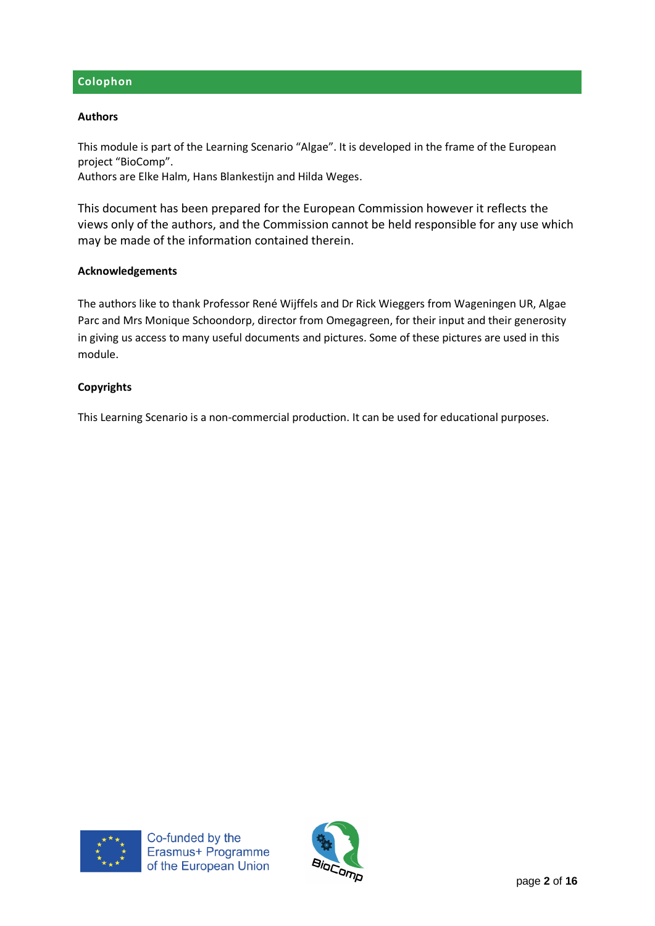# **Colophon**

#### **Authors**

This module is part of the Learning Scenario "Algae". It is developed in the frame of the European project "BioComp".

Authors are Elke Halm, Hans Blankestijn and Hilda Weges.

This document has been prepared for the European Commission however it reflects the views only of the authors, and the Commission cannot be held responsible for any use which may be made of the information contained therein.

#### **Acknowledgements**

The authors like to thank Professor René Wijffels and Dr Rick Wieggers from Wageningen UR, Algae Parc and Mrs Monique Schoondorp, director from Omegagreen, for their input and their generosity in giving us access to many useful documents and pictures. Some of these pictures are used in this module.

#### **Copyrights**

This Learning Scenario is a non-commercial production. It can be used for educational purposes.



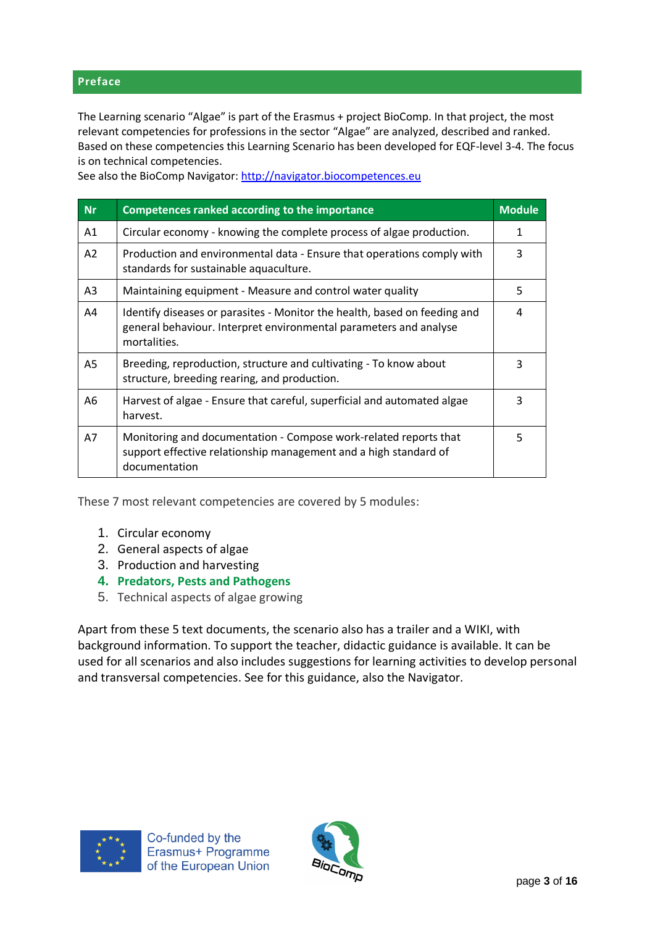#### **Preface**

The Learning scenario "Algae" is part of the Erasmus + project BioComp. In that project, the most relevant competencies for professions in the sector "Algae" are analyzed, described and ranked. Based on these competencies this Learning Scenario has been developed for EQF-level 3-4. The focus is on technical competencies.

| <b>Nr</b>      | Competences ranked according to the importance                                                                                                                 | <b>Module</b> |
|----------------|----------------------------------------------------------------------------------------------------------------------------------------------------------------|---------------|
| A1             | Circular economy - knowing the complete process of algae production.                                                                                           | 1             |
| A2             | Production and environmental data - Ensure that operations comply with<br>standards for sustainable aquaculture.                                               | 3             |
| A <sub>3</sub> | Maintaining equipment - Measure and control water quality                                                                                                      | 5             |
| A4             | Identify diseases or parasites - Monitor the health, based on feeding and<br>general behaviour. Interpret environmental parameters and analyse<br>mortalities. | 4             |
| A5             | Breeding, reproduction, structure and cultivating - To know about<br>structure, breeding rearing, and production.                                              | 3             |
| A6             | Harvest of algae - Ensure that careful, superficial and automated algae<br>harvest.                                                                            | 3             |
| A7             | Monitoring and documentation - Compose work-related reports that<br>support effective relationship management and a high standard of<br>documentation          | 5             |

See also the BioComp Navigator: [http://navigator.biocompetences.eu](http://navigator.biocompetences.eu/)

These 7 most relevant competencies are covered by 5 modules:

- 1. Circular economy
- 2. General aspects of algae
- 3. Production and harvesting
- **4. Predators, Pests and Pathogens**
- 5. Technical aspects of algae growing

Apart from these 5 text documents, the scenario also has a trailer and a WIKI, with background information. To support the teacher, didactic guidance is available. It can be used for all scenarios and also includes suggestions for learning activities to develop personal and transversal competencies. See for this guidance, also the Navigator.



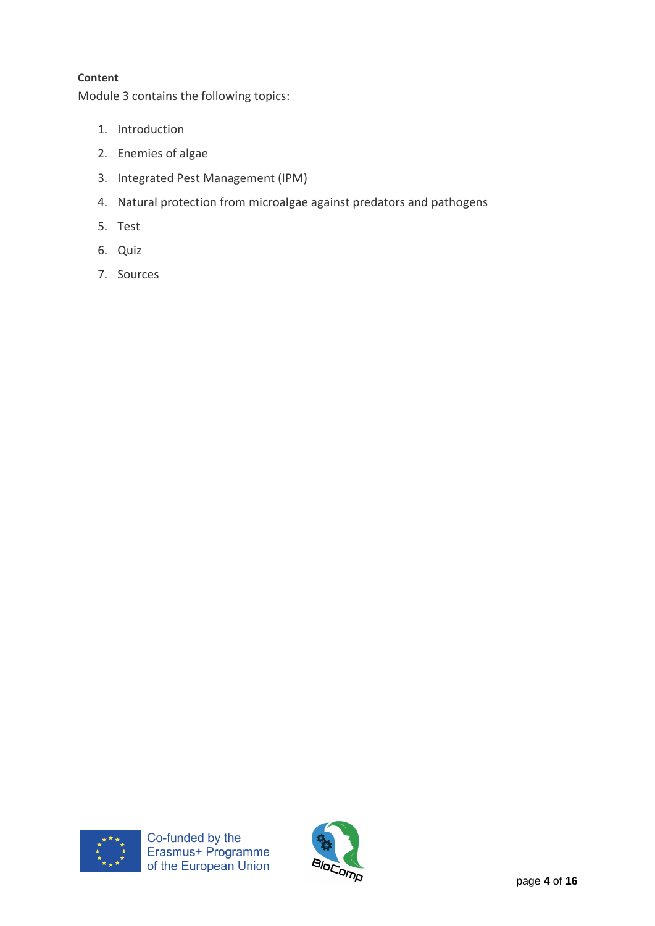# **Content**

Module 3 contains the following topics:

- 1. Introduction
- 2. Enemies of algae
- 3. Integrated Pest Management (IPM)
- 4. Natural protection from microalgae against predators and pathogens
- 5. Test
- 6. Quiz
- 7. Sources



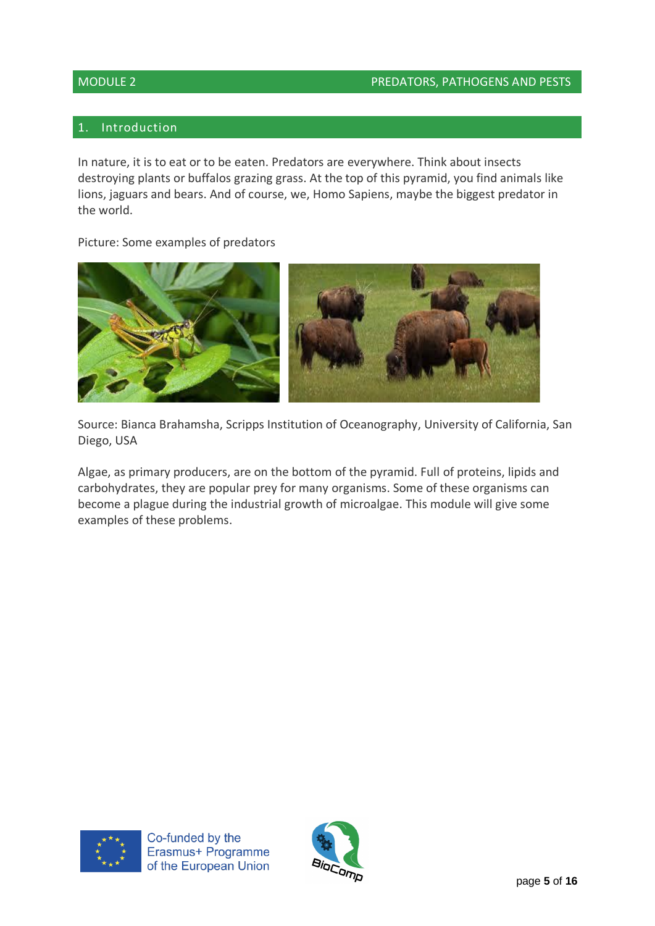# MODULE 2 PREDATORS, PATHOGENS AND PESTS

# 1. Introduction

In nature, it is to eat or to be eaten. Predators are everywhere. Think about insects destroying plants or buffalos grazing grass. At the top of this pyramid, you find animals like lions, jaguars and bears. And of course, we, Homo Sapiens, maybe the biggest predator in the world.

Picture: Some examples of predators



Source: Bianca Brahamsha, Scripps Institution of Oceanography, University of California, San Diego, USA

Algae, as primary producers, are on the bottom of the pyramid. Full of proteins, lipids and carbohydrates, they are popular prey for many organisms. Some of these organisms can become a plague during the industrial growth of microalgae. This module will give some examples of these problems.



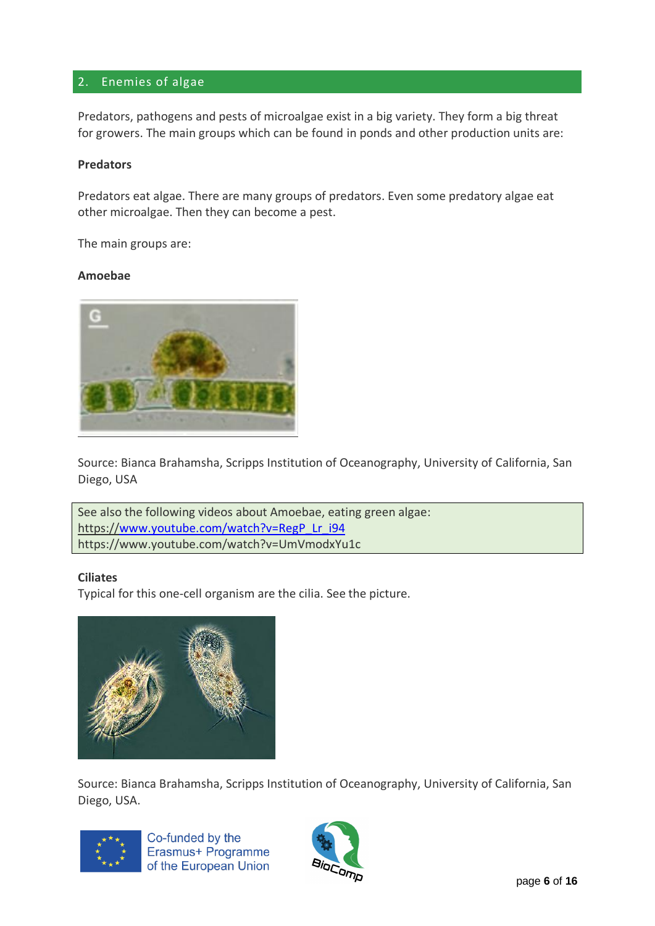# 2. Enemies of algae

Predators, pathogens and pests of microalgae exist in a big variety. They form a big threat for growers. The main groups which can be found in ponds and other production units are:

#### **Predators**

Predators eat algae. There are many groups of predators. Even some predatory algae eat other microalgae. Then they can become a pest.

The main groups are:

#### **Amoebae**



Source: Bianca Brahamsha, Scripps Institution of Oceanography, University of California, San Diego, USA

See also the following videos about Amoebae, eating green algae: https:/[/www.youtube.com/watch?v=RegP\\_Lr\\_i94](http://www.youtube.com/watch?v=RegP_Lr_i94) https://www.youtube.com/watch?v=UmVmodxYu1c

#### **Ciliates**

Typical for this one-cell organism are the cilia. See the picture.



Source: Bianca Brahamsha, Scripps Institution of Oceanography, University of California, San Diego, USA.



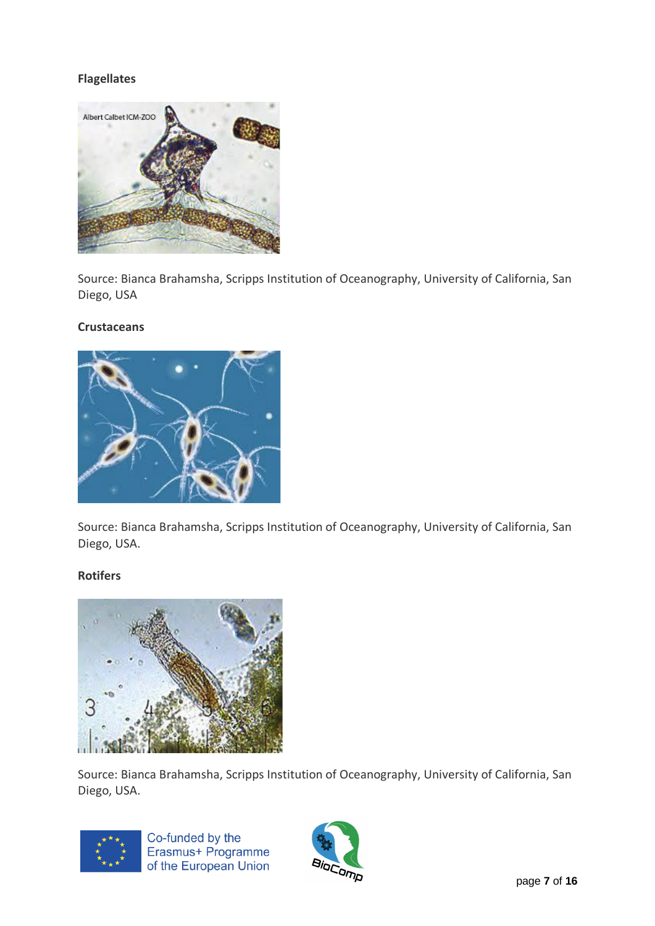# **Flagellates**



Source: Bianca Brahamsha, Scripps Institution of Oceanography, University of California, San Diego, USA

#### **Crustaceans**



Source: Bianca Brahamsha, Scripps Institution of Oceanography, University of California, San Diego, USA.

# **Rotifers**



Source: Bianca Brahamsha, Scripps Institution of Oceanography, University of California, San Diego, USA.



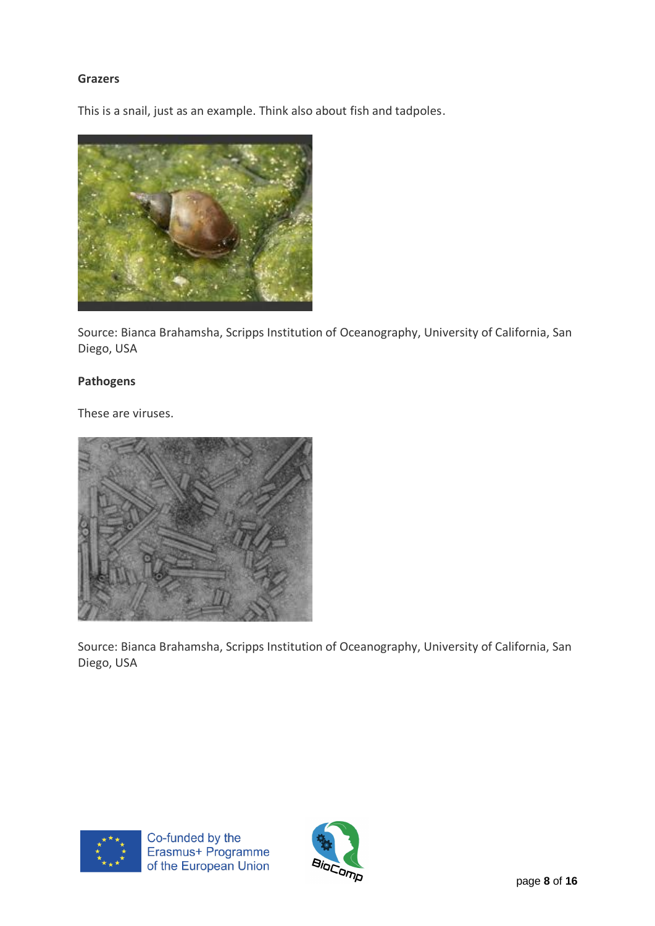# **Grazers**

This is a snail, just as an example. Think also about fish and tadpoles.



Source: Bianca Brahamsha, Scripps Institution of Oceanography, University of California, San Diego, USA

# **Pathogens**

These are viruses.



Source: Bianca Brahamsha, Scripps Institution of Oceanography, University of California, San Diego, USA



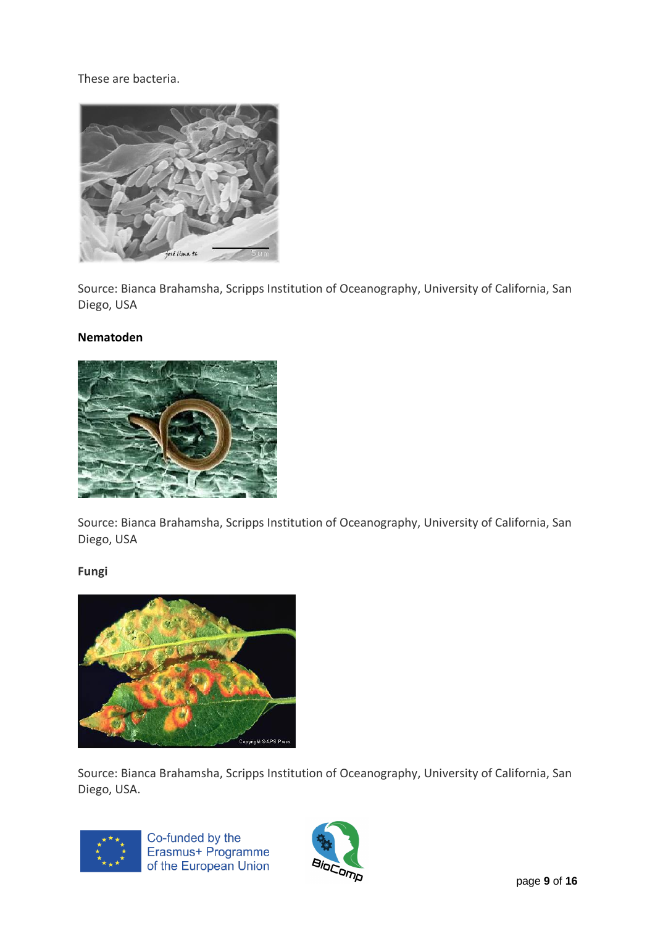These are bacteria.



Source: Bianca Brahamsha, Scripps Institution of Oceanography, University of California, San Diego, USA

# **Nematoden**



Source: Bianca Brahamsha, Scripps Institution of Oceanography, University of California, San Diego, USA

# **Fungi**



Source: Bianca Brahamsha, Scripps Institution of Oceanography, University of California, San Diego, USA.



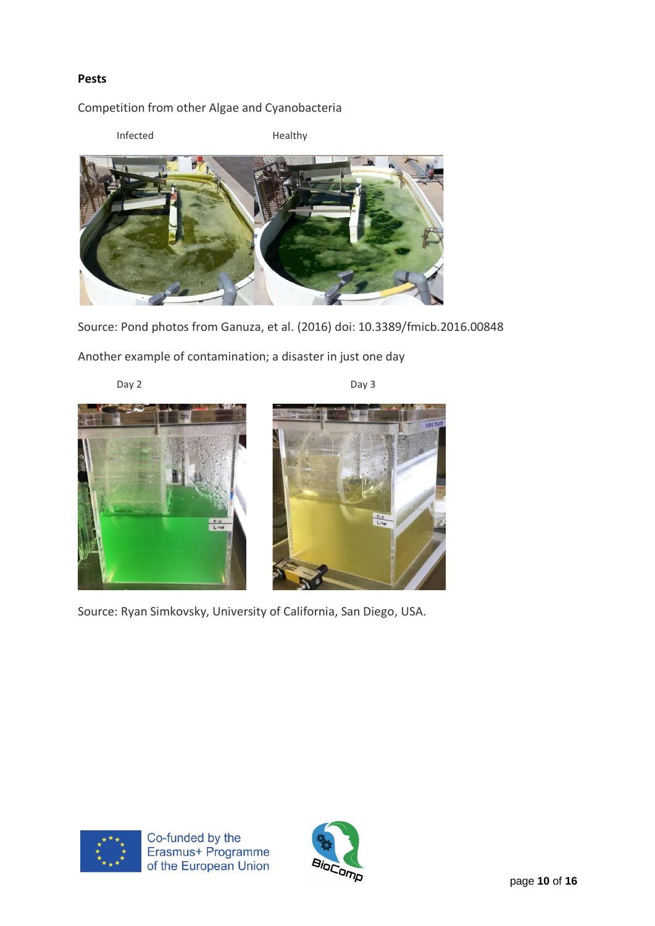# **Pests**

# Competition from other Algae and Cyanobacteria

Infected Healthy



Source: Pond photos from Ganuza, et al. (2016) doi: 10.3389/fmicb.2016.00848

Another example of contamination; a disaster in just one day

Day 2 Day 3





Source: Ryan Simkovsky, University of California, San Diego, USA.



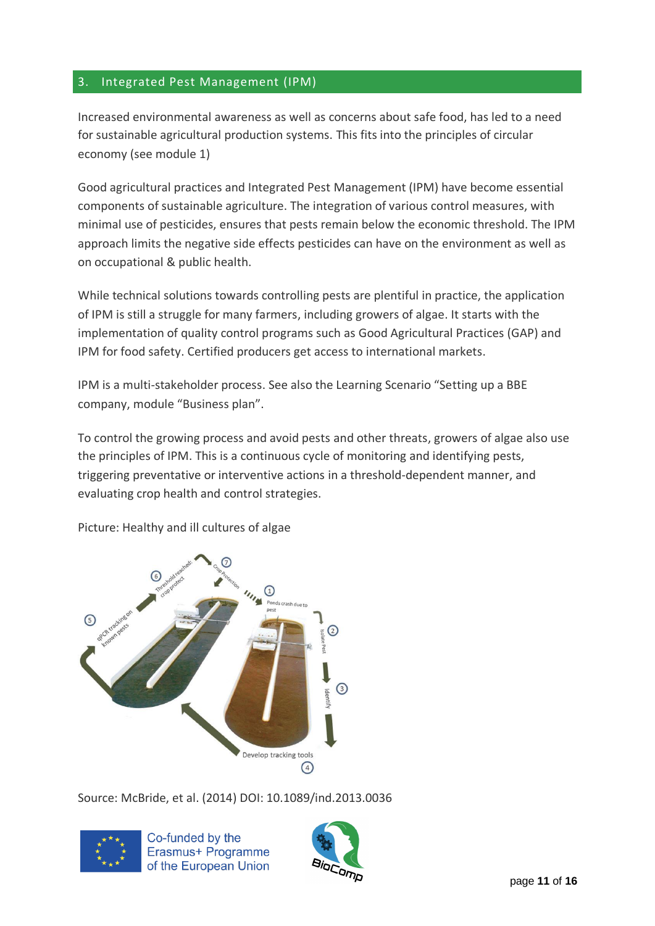# 3. Integrated Pest Management (IPM)

Increased environmental awareness as well as concerns about safe food, has led to a need for sustainable agricultural production systems. This fits into the principles of circular economy (see module 1)

Good agricultural practices and Integrated Pest Management (IPM) have become essential components of sustainable agriculture. The integration of various control measures, with minimal use of pesticides, ensures that pests remain below the economic threshold. The IPM approach limits the negative side effects pesticides can have on the environment as well as on occupational & public health.

While technical solutions towards controlling pests are plentiful in practice, the application of IPM is still a struggle for many farmers, including growers of algae. It starts with the implementation of quality control programs such as Good Agricultural Practices (GAP) and IPM for food safety. Certified producers get access to international markets.

IPM is a multi-stakeholder process. See also the Learning Scenario "Setting up a BBE company, module "Business plan".

To control the growing process and avoid pests and other threats, growers of algae also use the principles of IPM. This is a continuous cycle of monitoring and identifying pests, triggering preventative or interventive actions in a threshold-dependent manner, and evaluating crop health and control strategies.



Picture: Healthy and ill cultures of algae

Source: McBride, et al. (2014) DOI: 10.1089/ind.2013.0036



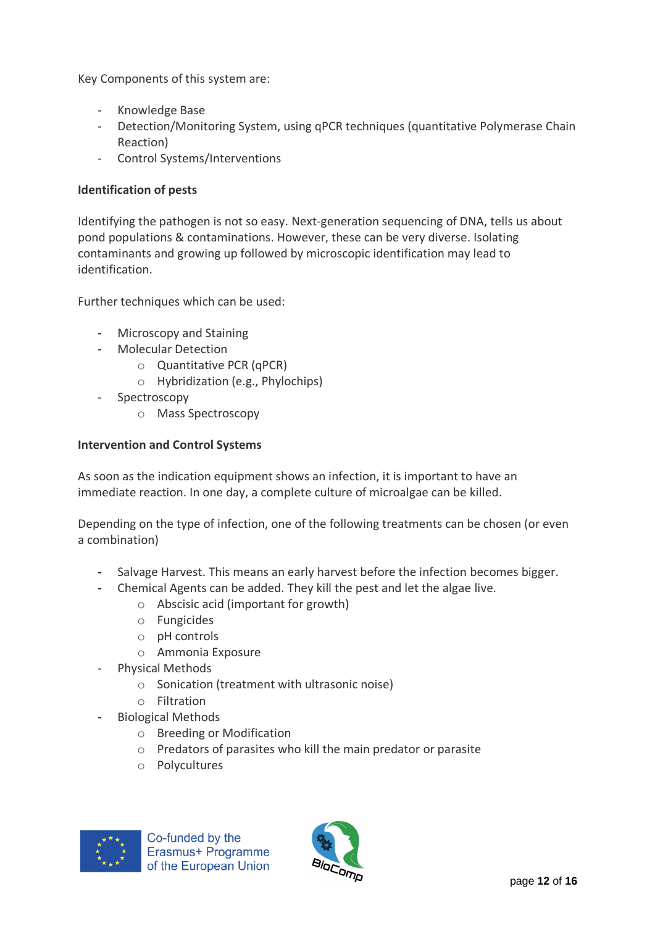Key Components of this system are:

- Knowledge Base
- Detection/Monitoring System, using qPCR techniques (quantitative Polymerase Chain Reaction)
- Control Systems/Interventions

# **Identification of pests**

Identifying the pathogen is not so easy. Next-generation sequencing of DNA, tells us about pond populations & contaminations. However, these can be very diverse. Isolating contaminants and growing up followed by microscopic identification may lead to identification.

Further techniques which can be used:

- Microscopy and Staining
- Molecular Detection
	- o Quantitative PCR (qPCR)
	- o Hybridization (e.g., Phylochips)
- Spectroscopy
	- o Mass Spectroscopy

# **Intervention and Control Systems**

As soon as the indication equipment shows an infection, it is important to have an immediate reaction. In one day, a complete culture of microalgae can be killed.

Depending on the type of infection, one of the following treatments can be chosen (or even a combination)

- Salvage Harvest. This means an early harvest before the infection becomes bigger.
- Chemical Agents can be added. They kill the pest and let the algae live.
	- o Abscisic acid (important for growth)
	- o Fungicides
	- o pH controls
	- o Ammonia Exposure
- Physical Methods
	- o Sonication (treatment with ultrasonic noise)
	- o Filtration
- Biological Methods
	- o Breeding or Modification
	- o Predators of parasites who kill the main predator or parasite
	- o Polycultures



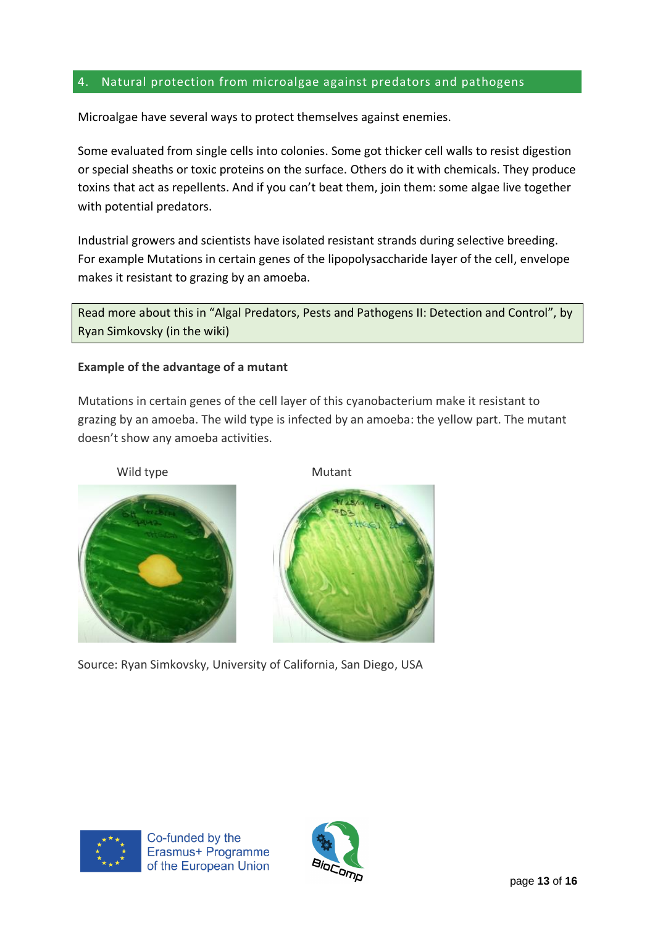# 4. Natural protection from microalgae against predators and pathogens

Microalgae have several ways to protect themselves against enemies.

Some evaluated from single cells into colonies. Some got thicker cell walls to resist digestion or special sheaths or toxic proteins on the surface. Others do it with chemicals. They produce toxins that act as repellents. And if you can't beat them, join them: some algae live together with potential predators.

Industrial growers and scientists have isolated resistant strands during selective breeding. For example Mutations in certain genes of the lipopolysaccharide layer of the cell, envelope makes it resistant to grazing by an amoeba.

Read more about this in "Algal Predators, Pests and Pathogens II: Detection and Control", by Ryan Simkovsky (in the wiki)

# **Example of the advantage of a mutant**

Mutations in certain genes of the cell layer of this cyanobacterium make it resistant to grazing by an amoeba. The wild type is infected by an amoeba: the yellow part. The mutant doesn't show any amoeba activities.





Source: Ryan Simkovsky, University of California, San Diego, USA



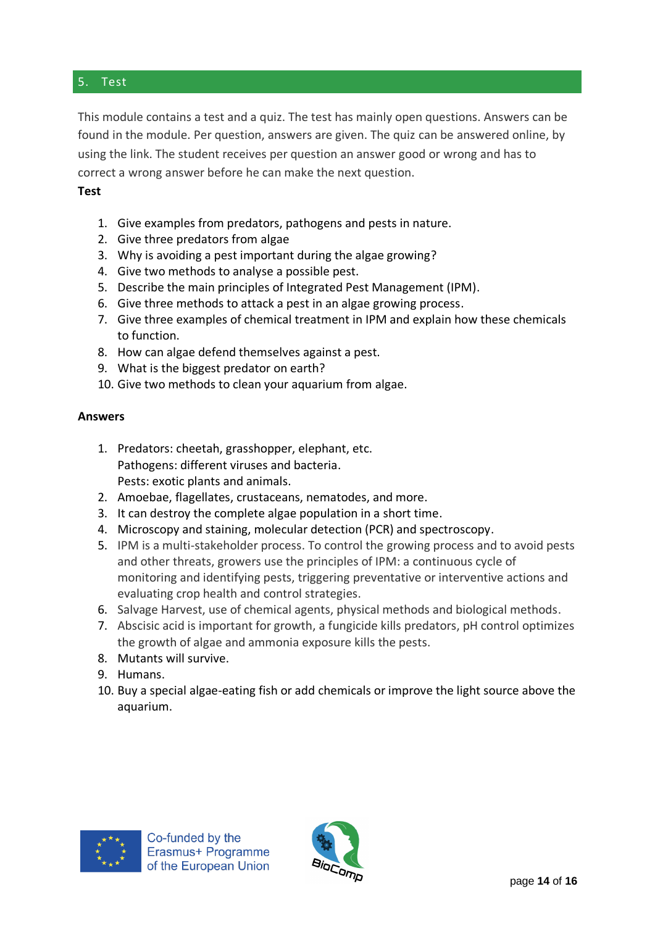### 5. Test

This module contains a test and a quiz. The test has mainly open questions. Answers can be found in the module. Per question, answers are given. The quiz can be answered online, by using the link. The student receives per question an answer good or wrong and has to correct a wrong answer before he can make the next question.

# **Test**

- 1. Give examples from predators, pathogens and pests in nature.
- 2. Give three predators from algae
- 3. Why is avoiding a pest important during the algae growing?
- 4. Give two methods to analyse a possible pest.
- 5. Describe the main principles of Integrated Pest Management (IPM).
- 6. Give three methods to attack a pest in an algae growing process.
- 7. Give three examples of chemical treatment in IPM and explain how these chemicals to function.
- 8. How can algae defend themselves against a pest.
- 9. What is the biggest predator on earth?
- 10. Give two methods to clean your aquarium from algae.

#### **Answers**

- 1. Predators: cheetah, grasshopper, elephant, etc. Pathogens: different viruses and bacteria. Pests: exotic plants and animals.
- 2. Amoebae, flagellates, crustaceans, nematodes, and more.
- 3. It can destroy the complete algae population in a short time.
- 4. Microscopy and staining, molecular detection (PCR) and spectroscopy.
- 5. IPM is a multi-stakeholder process. To control the growing process and to avoid pests and other threats, growers use the principles of IPM: a continuous cycle of monitoring and identifying pests, triggering preventative or interventive actions and evaluating crop health and control strategies.
- 6. Salvage Harvest, use of chemical agents, physical methods and biological methods.
- 7. Abscisic acid is important for growth, a fungicide kills predators, pH control optimizes the growth of algae and ammonia exposure kills the pests.
- 8. Mutants will survive.
- 9. Humans.
- 10. Buy a special algae-eating fish or add chemicals or improve the light source above the aquarium.



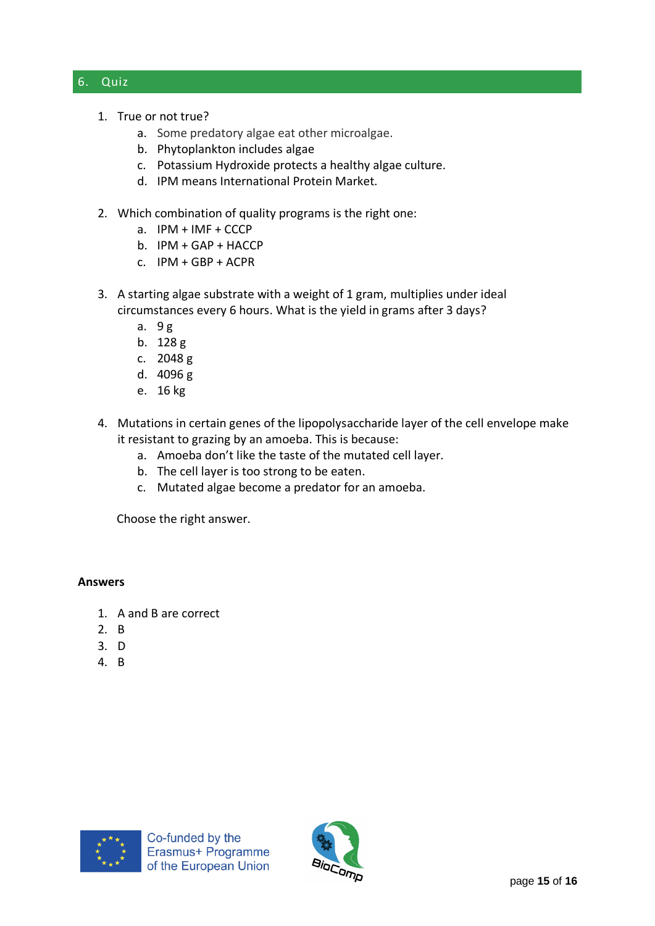### 6. Quiz

- 1. True or not true?
	- a. Some predatory algae eat other microalgae.
	- b. Phytoplankton includes algae
	- c. Potassium Hydroxide protects a healthy algae culture.
	- d. IPM means International Protein Market.
- 2. Which combination of quality programs is the right one:
	- a. IPM + IMF + CCCP
	- b. IPM + GAP + HACCP
	- c. IPM + GBP + ACPR
- 3. A starting algae substrate with a weight of 1 gram, multiplies under ideal circumstances every 6 hours. What is the yield in grams after 3 days?
	- a. 9 g
	- b. 128 g
	- c. 2048 g
	- d. 4096 g
	- e. 16 kg
- 4. Mutations in certain genes of the lipopolysaccharide layer of the cell envelope make it resistant to grazing by an amoeba. This is because:
	- a. Amoeba don't like the taste of the mutated cell layer.
	- b. The cell layer is too strong to be eaten.
	- c. Mutated algae become a predator for an amoeba.

Choose the right answer.

#### **Answers**

- 1. A and B are correct
- 2. B
- 3. D
- 4. B